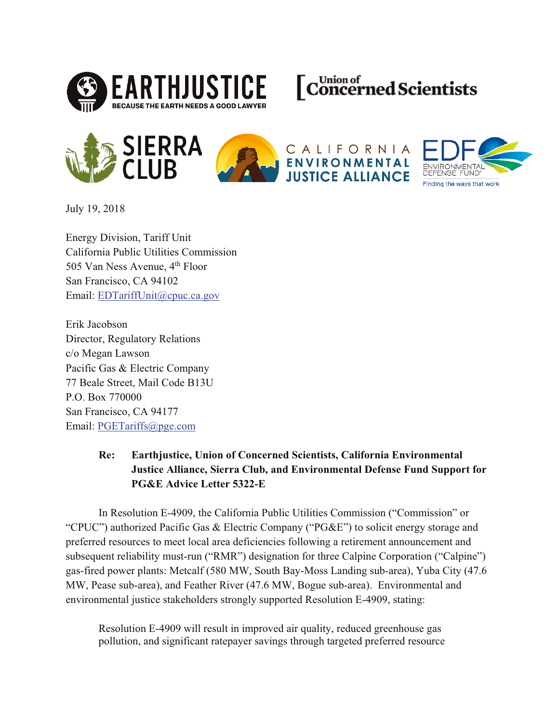







CALIFORNIA **ENVIRONMENTAL JUSTICE ALLIANCE** 



July 19, 2018

Energy Division, Tariff Unit California Public Utilities Commission 505 Van Ness Avenue, 4<sup>th</sup> Floor San Francisco, CA 94102 Email: EDTariffUnit@cpuc.ca.gov

Erik Jacobson Director, Regulatory Relations c/o Megan Lawson Pacific Gas & Electric Company 77 Beale Street, Mail Code B13U P.O. Box 770000 San Francisco, CA 94177 Email: PGETariffs@pge.com

#### Re: **Earthjustice, Union of Concerned Scientists, California Environmental Justice Alliance, Sierra Club, and Environmental Defense Fund Support for** PG&E Advice Letter 5322-E

In Resolution E-4909, the California Public Utilities Commission ("Commission" or "CPUC") authorized Pacific Gas & Electric Company ("PG&E") to solicit energy storage and preferred resources to meet local area deficiencies following a retirement announcement and subsequent reliability must-run ("RMR") designation for three Calpine Corporation ("Calpine") gas-fired power plants: Metcalf (580 MW, South Bay-Moss Landing sub-area), Yuba City (47.6) MW, Pease sub-area), and Feather River (47.6 MW, Bogue sub-area). Environmental and environmental justice stakeholders strongly supported Resolution E-4909, stating:

Resolution E-4909 will result in improved air quality, reduced greenhouse gas pollution, and significant ratepayer savings through targeted preferred resource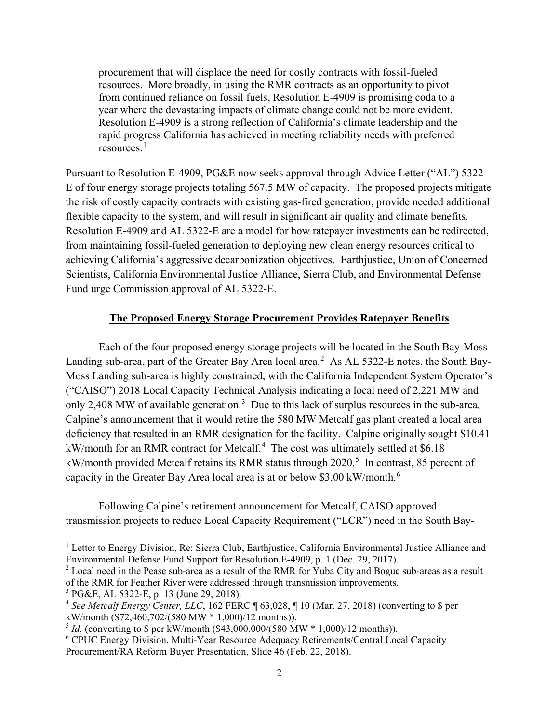procurement that will displace the need for costly contracts with fossil-fueled resources. More broadly, in using the RMR contracts as an opportunity to pivot from continued reliance on fossil fuels, Resolution E-4909 is promising coda to a year where the devastating impacts of climate change could not be more evident. Resolution E-4909 is a strong reflection of California's climate leadership and the rapid progress California has achieved in meeting reliability needs with preferred resources.<sup>1</sup>

Pursuant to Resolution E-4909, PG&E now seeks approval through Advice Letter ("AL") 5322- E of four energy storage projects totaling 567.5 MW of capacity. The proposed projects mitigate the risk of costly capacity contracts with existing gas-fired generation, provide needed additional flexible capacity to the system, and will result in significant air quality and climate benefits. Resolution E-4909 and AL 5322-E are a model for how ratepayer investments can be redirected, from maintaining fossil-fueled generation to deploying new clean energy resources critical to achieving California's aggressive decarbonization objectives. Earthjustice, Union of Concerned Scientists, California Environmental Justice Alliance, Sierra Club, and Environmental Defense Fund urge Commission approval of AL 5322-E.

#### **The Proposed Energy Storage Procurement Provides Ratepayer Benefits**

Each of the four proposed energy storage projects will be located in the South Bay-Moss Landing sub-area, part of the Greater Bay Area local area.<sup>2</sup> As AL 5322-E notes, the South Bay-Moss Landing sub-area is highly constrained, with the California Independent System Operator's ("CAISO") 2018 Local Capacity Technical Analysis indicating a local need of 2,221 MW and only 2,408 MW of available generation.<sup>3</sup> Due to this lack of surplus resources in the sub-area, Calpine's announcement that it would retire the 580 MW Metcalf gas plant created a local area deficiency that resulted in an RMR designation for the facility. Calpine originally sought \$10.41 kW/month for an RMR contract for Metcalf.<sup>4</sup> The cost was ultimately settled at \$6.18 kW/month provided Metcalf retains its RMR status through 2020.<sup>5</sup> In contrast, 85 percent of capacity in the Greater Bay Area local area is at or below \$3.00 kW/month.<sup>6</sup>

Following Calpine's retirement announcement for Metcalf, CAISO approved transmission projects to reduce Local Capacity Requirement ("LCR") need in the South Bay-

 $\overline{a}$ 

<sup>&</sup>lt;sup>1</sup> Letter to Energy Division, Re: Sierra Club, Earthjustice, California Environmental Justice Alliance and Environmental Defense Fund Support for Resolution E-4909, p. 1 (Dec. 29, 2017).

<sup>2</sup> Local need in the Pease sub-area as a result of the RMR for Yuba City and Bogue sub-areas as a result of the RMR for Feather River were addressed through transmission improvements.<br><sup>3</sup> PG&E, AL 5322-E, p. 13 (June 29, 2018).

<sup>&</sup>lt;sup>4</sup> See Metcalf Energy Center, LLC, 162 FERC  $\P$  63,028,  $\P$  10 (Mar. 27, 2018) (converting to \$ per kW/month (\$72,460,702/(580 MW \* 1,000)/12 months)).

<sup>&</sup>lt;sup>5</sup> *Id.* (converting to \$ per kW/month (\$43,000,000/(580 MW \* 1,000)/12 months)).

<sup>&</sup>lt;sup>6</sup> CPUC Energy Division, Multi-Year Resource Adequacy Retirements/Central Local Capacity Procurement/RA Reform Buyer Presentation, Slide 46 (Feb. 22, 2018).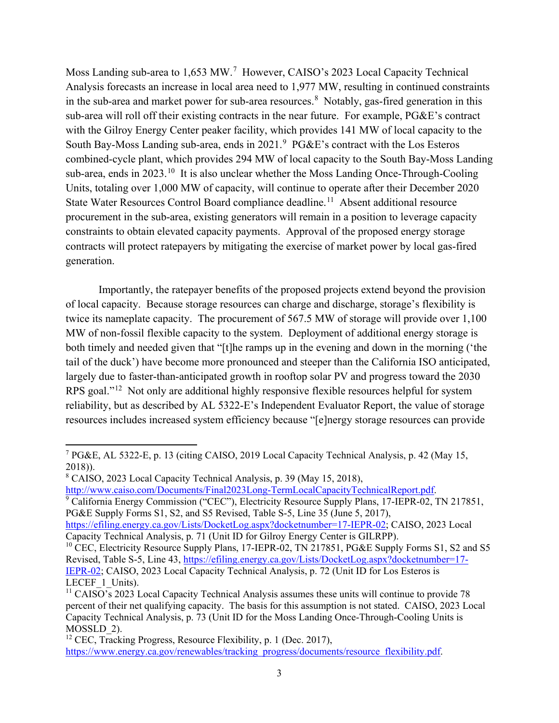Moss Landing sub-area to 1,653 MW.<sup>7</sup> However, CAISO's 2023 Local Capacity Technical Analysis forecasts an increase in local area need to 1,977 MW, resulting in continued constraints in the sub-area and market power for sub-area resources.<sup>8</sup> Notably, gas-fired generation in this sub-area will roll off their existing contracts in the near future. For example, PG&E's contract with the Gilroy Energy Center peaker facility, which provides 141 MW of local capacity to the South Bay-Moss Landing sub-area, ends in 2021.<sup>9</sup> PG&E's contract with the Los Esteros combined-cycle plant, which provides 294 MW of local capacity to the South Bay-Moss Landing sub-area, ends in 2023.<sup>10</sup> It is also unclear whether the Moss Landing Once-Through-Cooling Units, totaling over 1,000 MW of capacity, will continue to operate after their December 2020 State Water Resources Control Board compliance deadline.<sup>11</sup> Absent additional resource procurement in the sub-area, existing generators will remain in a position to leverage capacity constraints to obtain elevated capacity payments. Approval of the proposed energy storage contracts will protect ratepayers by mitigating the exercise of market power by local gas-fired generation.

Importantly, the ratepayer benefits of the proposed projects extend beyond the provision of local capacity. Because storage resources can charge and discharge, storage's flexibility is twice its nameplate capacity. The procurement of 567.5 MW of storage will provide over 1,100 MW of non-fossil flexible capacity to the system. Deployment of additional energy storage is both timely and needed given that "[t]he ramps up in the evening and down in the morning ('the tail of the duck') have become more pronounced and steeper than the California ISO anticipated, largely due to faster-than-anticipated growth in rooftop solar PV and progress toward the 2030 RPS goal."<sup>12</sup> Not only are additional highly responsive flexible resources helpful for system reliability, but as described by AL 5322-E's Independent Evaluator Report, the value of storage resources includes increased system efficiency because "[e]nergy storage resources can provide

http://www.caiso.com/Documents/Final2023Long-TermLocalCapacityTechnicalReport.pdf.

<sup>9</sup> California Energy Commission ("CEC"), Electricity Resource Supply Plans, 17-IEPR-02, TN 217851, PG&E Supply Forms S1, S2, and S5 Revised, Table S-5, Line 35 (June 5, 2017),

 $\overline{a}$ <sup>7</sup> PG&E, AL 5322-E, p. 13 (citing CAISO, 2019 Local Capacity Technical Analysis, p. 42 (May 15, 2018)).

<sup>8</sup> CAISO, 2023 Local Capacity Technical Analysis, p. 39 (May 15, 2018),

https://efiling.energy.ca.gov/Lists/DocketLog.aspx?docketnumber=17-IEPR-02; CAISO, 2023 Local Capacity Technical Analysis, p. 71 (Unit ID for Gilroy Energy Center is GILRPP).

<sup>&</sup>lt;sup>10</sup> CEC, Electricity Resource Supply Plans, 17-IEPR-02, TN 217851, PG&E Supply Forms S1, S2 and S5 Revised, Table S-5, Line 43, https://efiling.energy.ca.gov/Lists/DocketLog.aspx?docketnumber=17- IEPR-02; CAISO, 2023 Local Capacity Technical Analysis, p. 72 (Unit ID for Los Esteros is LECEF 1 Units).

<sup>&</sup>lt;sup>11</sup> CAISO's 2023 Local Capacity Technical Analysis assumes these units will continue to provide 78 percent of their net qualifying capacity. The basis for this assumption is not stated. CAISO, 2023 Local Capacity Technical Analysis, p. 73 (Unit ID for the Moss Landing Once-Through-Cooling Units is MOSSLD\_2).

<sup>&</sup>lt;sup>12</sup> CEC, Tracking Progress, Resource Flexibility, p. 1 (Dec. 2017), https://www.energy.ca.gov/renewables/tracking progress/documents/resource flexibility.pdf.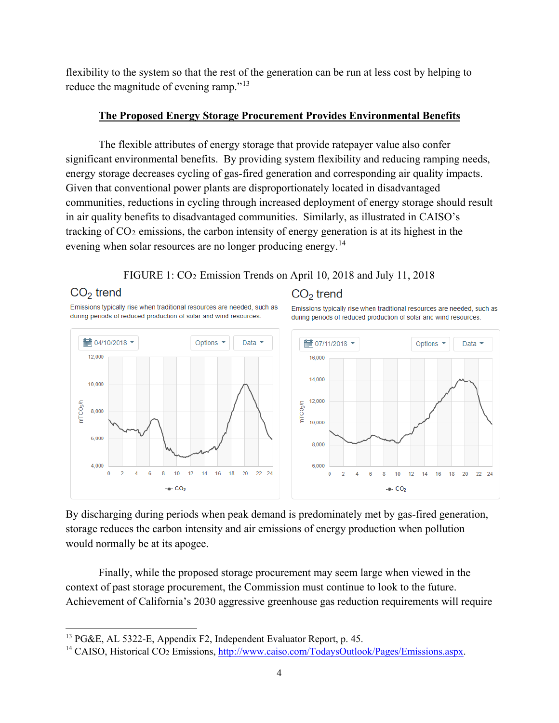flexibility to the system so that the rest of the generation can be run at less cost by helping to reduce the magnitude of evening ramp."13

# **The Proposed Energy Storage Procurement Provides Environmental Benefits**

The flexible attributes of energy storage that provide ratepayer value also confer significant environmental benefits. By providing system flexibility and reducing ramping needs, energy storage decreases cycling of gas-fired generation and corresponding air quality impacts. Given that conventional power plants are disproportionately located in disadvantaged communities, reductions in cycling through increased deployment of energy storage should result in air quality benefits to disadvantaged communities. Similarly, as illustrated in CAISO's tracking of CO2 emissions, the carbon intensity of energy generation is at its highest in the evening when solar resources are no longer producing energy.<sup>14</sup>

## FIGURE 1: CO2 Emission Trends on April 10, 2018 and July 11, 2018

# $CO<sub>2</sub>$  trend

12,000

10,000

8.000

6,000

4.000

 $\overline{2}$ 

 $\bf{0}$ 

 $\overline{6}$ 

 $\overline{4}$ 

mTCO<sub>2</sub>/h

■ 04/10/2018 ▼

 $\overline{a}$ 

Emissions typically rise when traditional resources are needed, such as during periods of reduced production of solar and wind resources.

### $CO<sub>2</sub>$  trend Emissions typically rise when traditional resources are needed, such as during periods of reduced production of solar and wind resources.



By discharging during periods when peak demand is predominately met by gas-fired generation, storage reduces the carbon intensity and air emissions of energy production when pollution would normally be at its apogee.

Finally, while the proposed storage procurement may seem large when viewed in the context of past storage procurement, the Commission must continue to look to the future. Achievement of California's 2030 aggressive greenhouse gas reduction requirements will require

<sup>&</sup>lt;sup>13</sup> PG&E, AL 5322-E, Appendix F2, Independent Evaluator Report, p. 45.

<sup>&</sup>lt;sup>14</sup> CAISO, Historical CO<sub>2</sub> Emissions, http://www.caiso.com/TodaysOutlook/Pages/Emissions.aspx.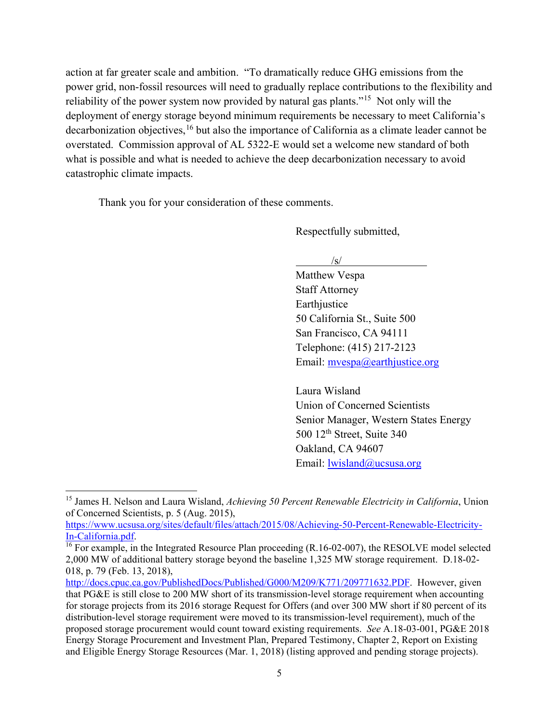action at far greater scale and ambition. "To dramatically reduce GHG emissions from the power grid, non-fossil resources will need to gradually replace contributions to the flexibility and reliability of the power system now provided by natural gas plants."15 Not only will the deployment of energy storage beyond minimum requirements be necessary to meet California's decarbonization objectives,16 but also the importance of California as a climate leader cannot be overstated. Commission approval of AL 5322-E would set a welcome new standard of both what is possible and what is needed to achieve the deep decarbonization necessary to avoid catastrophic climate impacts.

Thank you for your consideration of these comments.

Respectfully submitted,

 $\sqrt{s/}$ 

Matthew Vespa Staff Attorney **Earthjustice** 50 California St., Suite 500 San Francisco, CA 94111 Telephone: (415) 217-2123 Email: myespa@earthjustice.org

Laura Wisland Union of Concerned Scientists Senior Manager, Western States Energy 500 12<sup>th</sup> Street, Suite 340 Oakland, CA 94607 Email: lwisland@ucsusa.org

 $\overline{a}$ <sup>15</sup> James H. Nelson and Laura Wisland, *Achieving 50 Percent Renewable Electricity in California*, Union of Concerned Scientists, p. 5 (Aug. 2015),

https://www.ucsusa.org/sites/default/files/attach/2015/08/Achieving-50-Percent-Renewable-Electricity-In-California.pdf. 16 For example, in the Integrated Resource Plan proceeding (R.16-02-007), the RESOLVE model selected

<sup>2,000</sup> MW of additional battery storage beyond the baseline 1,325 MW storage requirement. D.18-02- 018, p. 79 (Feb. 13, 2018),

http://docs.cpuc.ca.gov/PublishedDocs/Published/G000/M209/K771/209771632.PDF. However, given that PG&E is still close to 200 MW short of its transmission-level storage requirement when accounting for storage projects from its 2016 storage Request for Offers (and over 300 MW short if 80 percent of its distribution-level storage requirement were moved to its transmission-level requirement), much of the proposed storage procurement would count toward existing requirements. *See* A.18-03-001, PG&E 2018 Energy Storage Procurement and Investment Plan, Prepared Testimony, Chapter 2, Report on Existing and Eligible Energy Storage Resources (Mar. 1, 2018) (listing approved and pending storage projects).